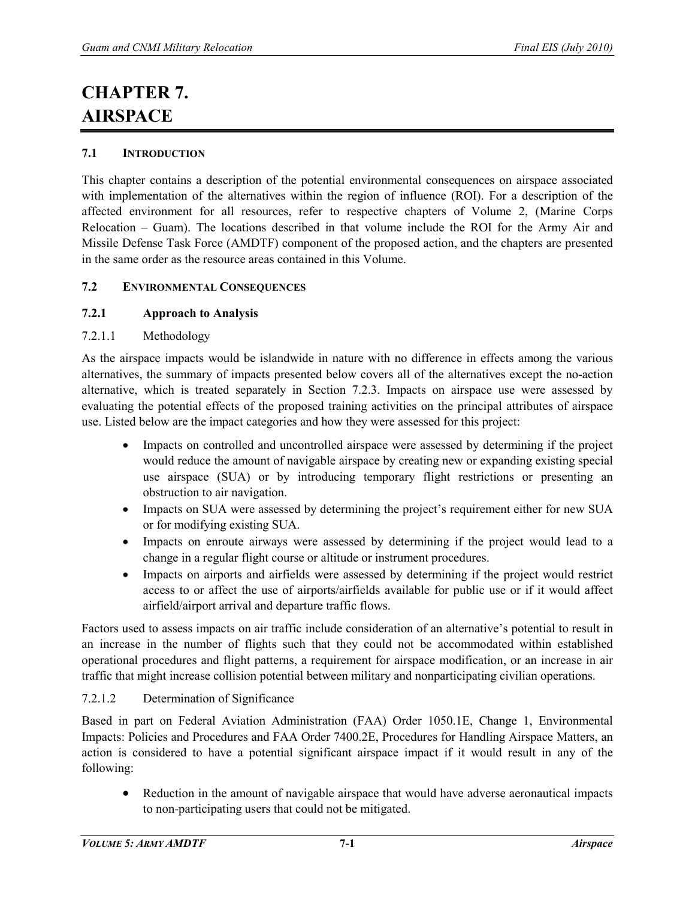# **CHAPTER 7. AIRSPACE**

### **7.1 INTRODUCTION**

This chapter contains a description of the potential environmental consequences on airspace associated with implementation of the alternatives within the region of influence (ROI). For a description of the affected environment for all resources, refer to respective chapters of Volume 2, (Marine Corps Relocation – Guam). The locations described in that volume include the ROI for the Army Air and Missile Defense Task Force (AMDTF) component of the proposed action, and the chapters are presented in the same order as the resource areas contained in this Volume.

#### **7.2 ENVIRONMENTAL CONSEQUENCES**

### **7.2.1 Approach to Analysis**

### 7.2.1.1 Methodology

As the airspace impacts would be islandwide in nature with no difference in effects among the various alternatives, the summary of impacts presented below covers all of the alternatives except the no-action alternative, which is treated separately in Section 7.2.3. Impacts on airspace use were assessed by evaluating the potential effects of the proposed training activities on the principal attributes of airspace use. Listed below are the impact categories and how they were assessed for this project:

- Impacts on controlled and uncontrolled airspace were assessed by determining if the project would reduce the amount of navigable airspace by creating new or expanding existing special use airspace (SUA) or by introducing temporary flight restrictions or presenting an obstruction to air navigation.
- Impacts on SUA were assessed by determining the project's requirement either for new SUA or for modifying existing SUA.
- Impacts on enroute airways were assessed by determining if the project would lead to a change in a regular flight course or altitude or instrument procedures.
- Impacts on airports and airfields were assessed by determining if the project would restrict access to or affect the use of airports/airfields available for public use or if it would affect airfield/airport arrival and departure traffic flows.

Factors used to assess impacts on air traffic include consideration of an alternative's potential to result in an increase in the number of flights such that they could not be accommodated within established operational procedures and flight patterns, a requirement for airspace modification, or an increase in air traffic that might increase collision potential between military and nonparticipating civilian operations.

## 7.2.1.2 Determination of Significance

Based in part on Federal Aviation Administration (FAA) Order 1050.1E, Change 1, Environmental Impacts: Policies and Procedures and FAA Order 7400.2E, Procedures for Handling Airspace Matters, an action is considered to have a potential significant airspace impact if it would result in any of the following:

• Reduction in the amount of navigable airspace that would have adverse aeronautical impacts to non-participating users that could not be mitigated.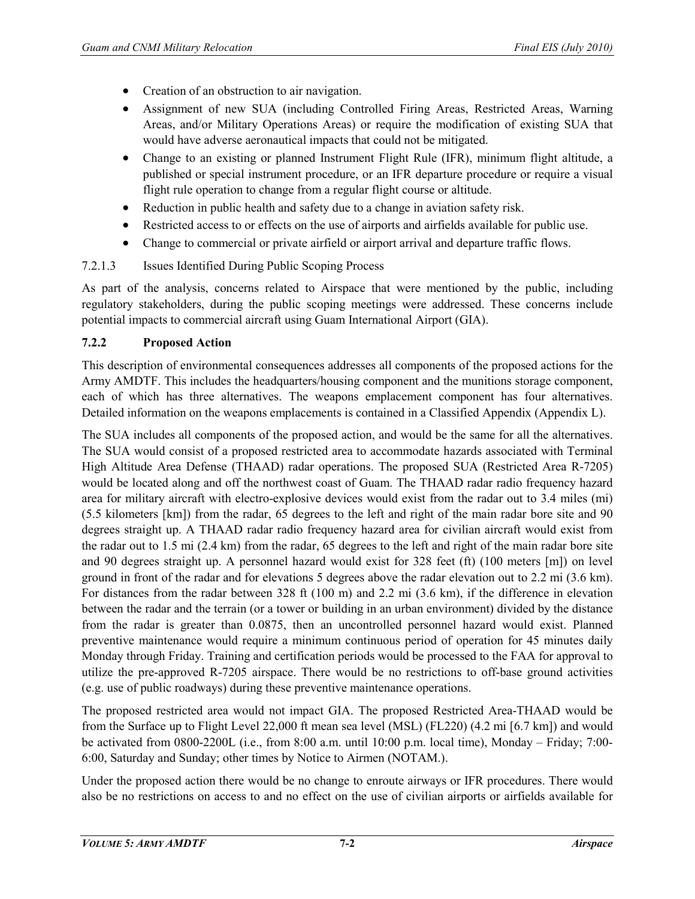- Creation of an obstruction to air navigation.
- Assignment of new SUA (including Controlled Firing Areas, Restricted Areas, Warning Areas, and/or Military Operations Areas) or require the modification of existing SUA that would have adverse aeronautical impacts that could not be mitigated.
- Change to an existing or planned Instrument Flight Rule (IFR), minimum flight altitude, a published or special instrument procedure, or an IFR departure procedure or require a visual flight rule operation to change from a regular flight course or altitude.
- Reduction in public health and safety due to a change in aviation safety risk.
- Restricted access to or effects on the use of airports and airfields available for public use.
- Change to commercial or private airfield or airport arrival and departure traffic flows.

## 7.2.1.3 Issues Identified During Public Scoping Process

As part of the analysis, concerns related to Airspace that were mentioned by the public, including regulatory stakeholders, during the public scoping meetings were addressed. These concerns include potential impacts to commercial aircraft using Guam International Airport (GIA).

## **7.2.2 Proposed Action**

This description of environmental consequences addresses all components of the proposed actions for the Army AMDTF. This includes the headquarters/housing component and the munitions storage component, each of which has three alternatives. The weapons emplacement component has four alternatives. Detailed information on the weapons emplacements is contained in a Classified Appendix (Appendix L).

The SUA includes all components of the proposed action, and would be the same for all the alternatives. The SUA would consist of a proposed restricted area to accommodate hazards associated with Terminal High Altitude Area Defense (THAAD) radar operations. The proposed SUA (Restricted Area R-7205) would be located along and off the northwest coast of Guam. The THAAD radar radio frequency hazard area for military aircraft with electro-explosive devices would exist from the radar out to 3.4 miles (mi) (5.5 kilometers [km]) from the radar, 65 degrees to the left and right of the main radar bore site and 90 degrees straight up. A THAAD radar radio frequency hazard area for civilian aircraft would exist from the radar out to 1.5 mi (2.4 km) from the radar, 65 degrees to the left and right of the main radar bore site and 90 degrees straight up. A personnel hazard would exist for 328 feet (ft) (100 meters [m]) on level ground in front of the radar and for elevations 5 degrees above the radar elevation out to 2.2 mi (3.6 km). For distances from the radar between 328 ft (100 m) and 2.2 mi (3.6 km), if the difference in elevation between the radar and the terrain (or a tower or building in an urban environment) divided by the distance from the radar is greater than 0.0875, then an uncontrolled personnel hazard would exist. Planned preventive maintenance would require a minimum continuous period of operation for 45 minutes daily Monday through Friday. Training and certification periods would be processed to the FAA for approval to utilize the pre-approved R-7205 airspace. There would be no restrictions to off-base ground activities (e.g. use of public roadways) during these preventive maintenance operations.

The proposed restricted area would not impact GIA. The proposed Restricted Area-THAAD would be from the Surface up to Flight Level 22,000 ft mean sea level (MSL) (FL220) (4.2 mi [6.7 km]) and would be activated from 0800-2200L (i.e., from 8:00 a.m. until 10:00 p.m. local time), Monday – Friday; 7:00- 6:00, Saturday and Sunday; other times by Notice to Airmen (NOTAM.).

Under the proposed action there would be no change to enroute airways or IFR procedures. There would also be no restrictions on access to and no effect on the use of civilian airports or airfields available for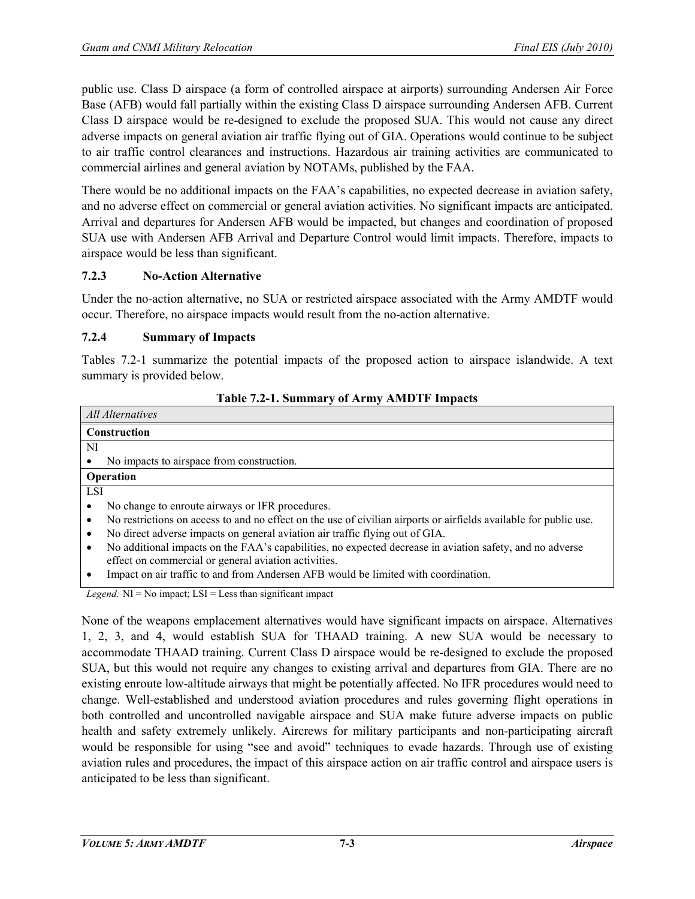public use. Class D airspace (a form of controlled airspace at airports) surrounding Andersen Air Force Base (AFB) would fall partially within the existing Class D airspace surrounding Andersen AFB. Current Class D airspace would be re-designed to exclude the proposed SUA. This would not cause any direct adverse impacts on general aviation air traffic flying out of GIA. Operations would continue to be subject to air traffic control clearances and instructions. Hazardous air training activities are communicated to commercial airlines and general aviation by NOTAMs, published by the FAA.

There would be no additional impacts on the FAA's capabilities, no expected decrease in aviation safety, and no adverse effect on commercial or general aviation activities. No significant impacts are anticipated. Arrival and departures for Andersen AFB would be impacted, but changes and coordination of proposed SUA use with Andersen AFB Arrival and Departure Control would limit impacts. Therefore, impacts to airspace would be less than significant.

## **7.2.3 No-Action Alternative**

Under the no-action alternative, no SUA or restricted airspace associated with the Army AMDTF would occur. Therefore, no airspace impacts would result from the no-action alternative.

### **7.2.4 Summary of Impacts**

Tables 7.2-1 summarize the potential impacts of the proposed action to airspace islandwide. A text summary is provided below.

| $1400 \times 1211$                                                                                                  |
|---------------------------------------------------------------------------------------------------------------------|
| All Alternatives                                                                                                    |
| <b>Construction</b>                                                                                                 |
| NI                                                                                                                  |
| No impacts to airspace from construction.                                                                           |
| Operation                                                                                                           |
| <b>LSI</b>                                                                                                          |
| No change to enroute airways or IFR procedures.                                                                     |
| No restrictions on access to and no effect on the use of civilian airports or airfields available for public use.   |
| No direct adverse impacts on general aviation air traffic flying out of GIA.                                        |
| $\bullet$ No additional impacts on the $FAA$ 's capabilities no expected decrease in aviation safety and no adverse |

#### **Table 7.2-1. Summary of Army AMDTF Impacts**

- litional impacts on the FAA's capabilities, no expected decrease in aviation safety, and no adverse effect on commercial or general aviation activities.
- Impact on air traffic to and from Andersen AFB would be limited with coordination.

*Legend:* NI = No impact; LSI = Less than significant impact

None of the weapons emplacement alternatives would have significant impacts on airspace. Alternatives 1, 2, 3, and 4, would establish SUA for THAAD training. A new SUA would be necessary to accommodate THAAD training. Current Class D airspace would be re-designed to exclude the proposed SUA, but this would not require any changes to existing arrival and departures from GIA. There are no existing enroute low-altitude airways that might be potentially affected. No IFR procedures would need to change. Well-established and understood aviation procedures and rules governing flight operations in both controlled and uncontrolled navigable airspace and SUA make future adverse impacts on public health and safety extremely unlikely. Aircrews for military participants and non-participating aircraft would be responsible for using "see and avoid" techniques to evade hazards. Through use of existing aviation rules and procedures, the impact of this airspace action on air traffic control and airspace users is anticipated to be less than significant.